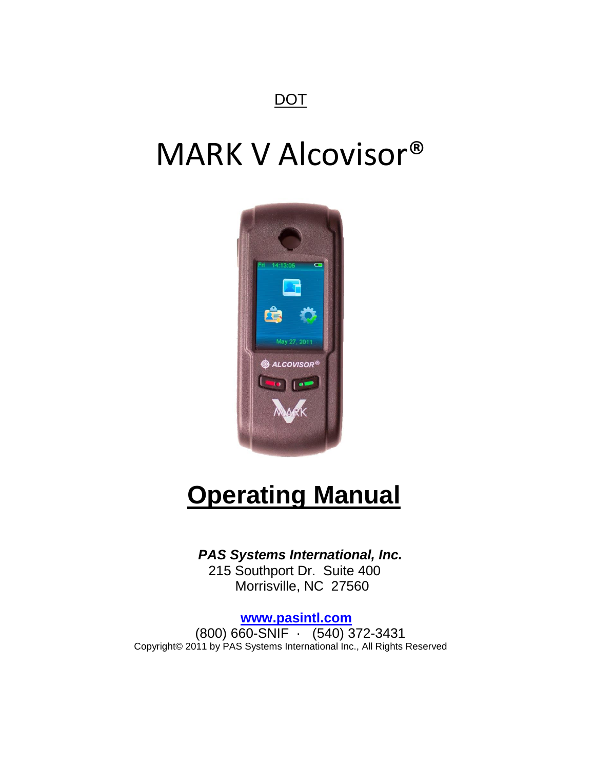## **DOT**

# MARK V Alcovisor®



# **Operating Manual**

### *PAS Systems International, Inc.*

 215 Southport Dr. Suite 400 Morrisville, NC 27560

#### **[www.pasintl.com](http://www.pasintl.com/)**

 (800) 660-SNIF · (540) 372-3431 Copyright© 2011 by PAS Systems International Inc., All Rights Reserved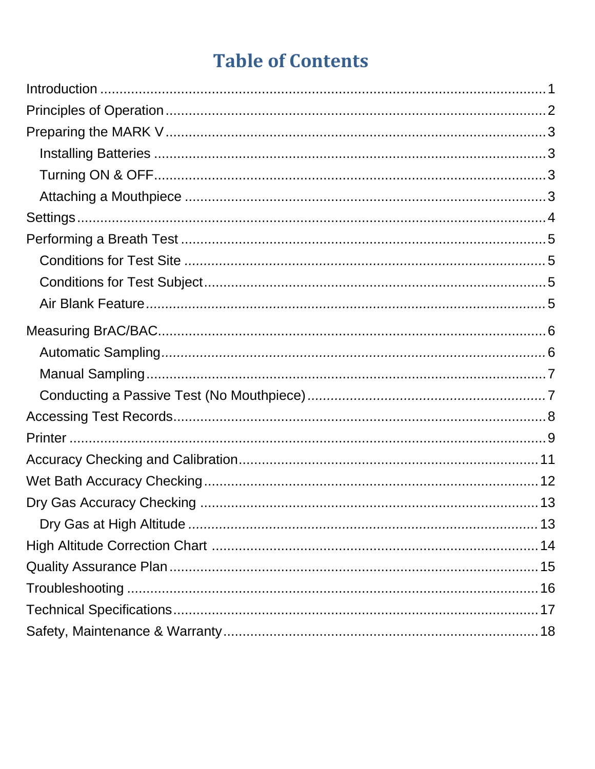# **Table of Contents**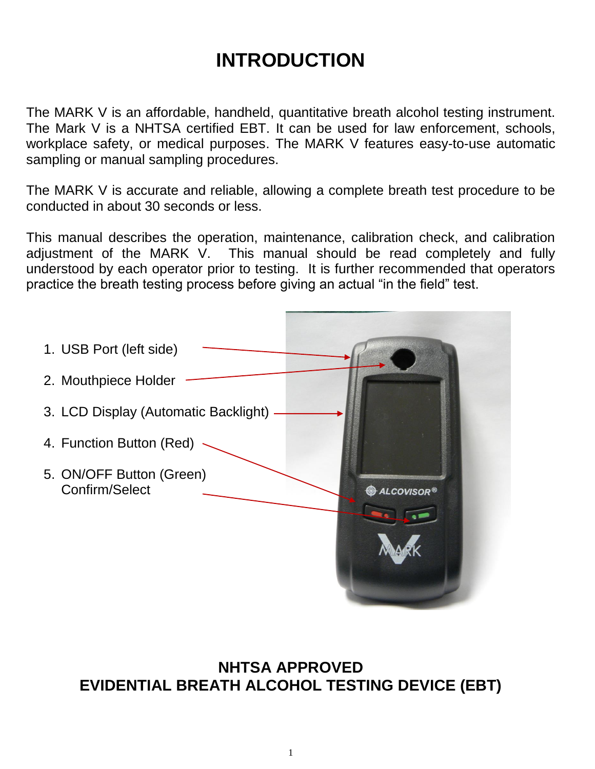# **INTRODUCTION**

The MARK V is an affordable, handheld, quantitative breath alcohol testing instrument. The Mark V is a NHTSA certified EBT. It can be used for law enforcement, schools, workplace safety, or medical purposes. The MARK V features easy-to-use automatic sampling or manual sampling procedures.

The MARK V is accurate and reliable, allowing a complete breath test procedure to be conducted in about 30 seconds or less.

This manual describes the operation, maintenance, calibration check, and calibration adjustment of the MARK V. This manual should be read completely and fully understood by each operator prior to testing. It is further recommended that operators practice the breath testing process before giving an actual "in the field" test.



**NHTSA APPROVED EVIDENTIAL BREATH ALCOHOL TESTING DEVICE (EBT)**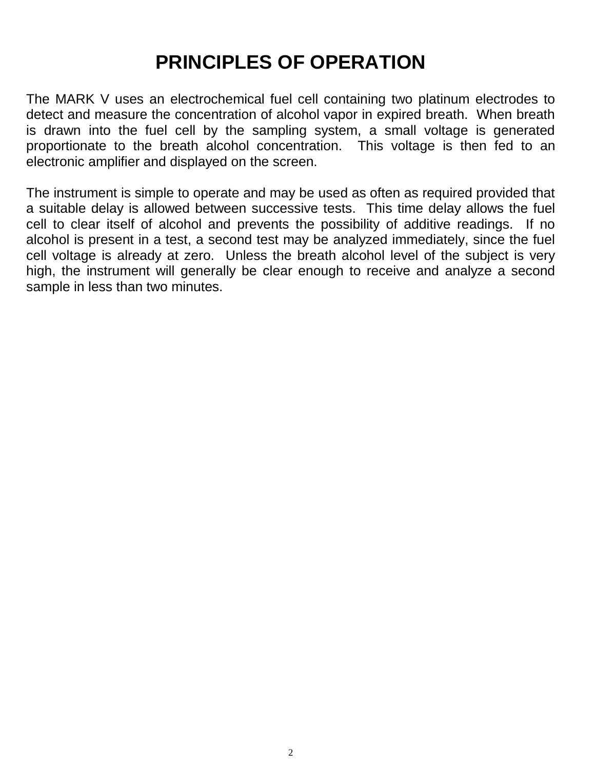# **PRINCIPLES OF OPERATION**

The MARK V uses an electrochemical fuel cell containing two platinum electrodes to detect and measure the concentration of alcohol vapor in expired breath. When breath is drawn into the fuel cell by the sampling system, a small voltage is generated proportionate to the breath alcohol concentration. This voltage is then fed to an electronic amplifier and displayed on the screen.

The instrument is simple to operate and may be used as often as required provided that a suitable delay is allowed between successive tests. This time delay allows the fuel cell to clear itself of alcohol and prevents the possibility of additive readings. If no alcohol is present in a test, a second test may be analyzed immediately, since the fuel cell voltage is already at zero. Unless the breath alcohol level of the subject is very high, the instrument will generally be clear enough to receive and analyze a second sample in less than two minutes.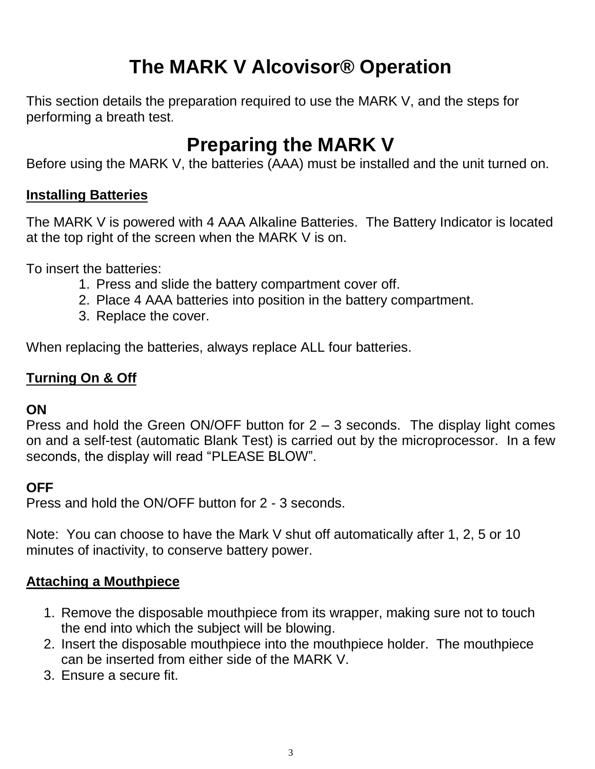# **The MARK V Alcovisor® Operation**

This section details the preparation required to use the MARK V, and the steps for performing a breath test.

# **Preparing the MARK V**

Before using the MARK V, the batteries (AAA) must be installed and the unit turned on.

### **Installing Batteries**

The MARK V is powered with 4 AAA Alkaline Batteries. The Battery Indicator is located at the top right of the screen when the MARK V is on.

To insert the batteries:

- 1. Press and slide the battery compartment cover off.
- 2. Place 4 AAA batteries into position in the battery compartment.
- 3. Replace the cover.

When replacing the batteries, always replace ALL four batteries.

## **Turning On & Off**

### **ON**

Press and hold the Green ON/OFF button for 2 – 3 seconds. The display light comes on and a self-test (automatic Blank Test) is carried out by the microprocessor. In a few seconds, the display will read "PLEASE BLOW".

### **OFF**

Press and hold the ON/OFF button for 2 - 3 seconds.

Note: You can choose to have the Mark V shut off automatically after 1, 2, 5 or 10 minutes of inactivity, to conserve battery power.

### **Attaching a Mouthpiece**

- 1. Remove the disposable mouthpiece from its wrapper, making sure not to touch the end into which the subject will be blowing.
- 2. Insert the disposable mouthpiece into the mouthpiece holder. The mouthpiece can be inserted from either side of the MARK V.
- 3. Ensure a secure fit.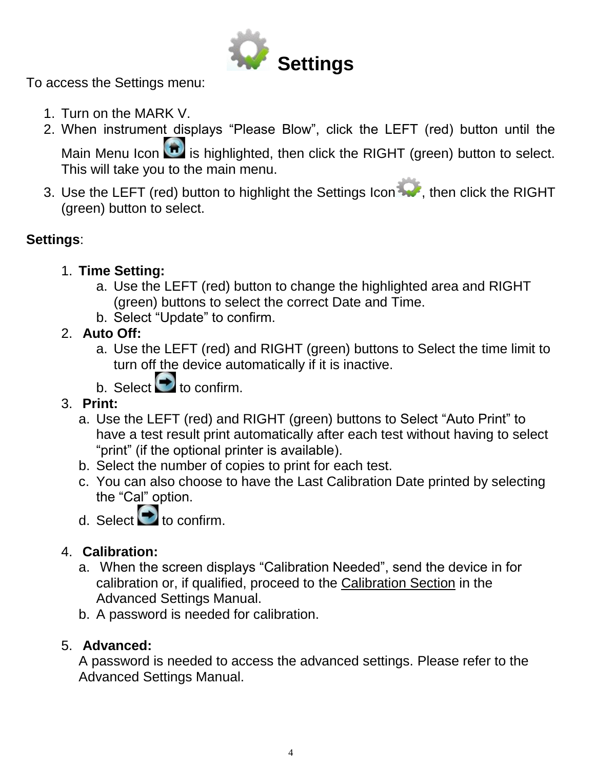

To access the Settings menu:

- 1. Turn on the MARK V.
- 2. When instrument displays "Please Blow", click the LEFT (red) button until the Main Menu Icon  $\boxed{\bullet}$  is highlighted, then click the RIGHT (green) button to select. This will take you to the main menu.
- 3. Use the LEFT (red) button to highlight the Settings Icon , then click the RIGHT (green) button to select.

## **Settings**:

- 1. **Time Setting:**
	- a. Use the LEFT (red) button to change the highlighted area and RIGHT (green) buttons to select the correct Date and Time.
	- b. Select "Update" to confirm.
- 2. **Auto Off:**
	- a. Use the LEFT (red) and RIGHT (green) buttons to Select the time limit to turn off the device automatically if it is inactive.
	- b. Select  $\bullet$  to confirm.
- 3. **Print:**
	- a. Use the LEFT (red) and RIGHT (green) buttons to Select "Auto Print" to have a test result print automatically after each test without having to select "print" (if the optional printer is available).
	- b. Select the number of copies to print for each test.
	- c. You can also choose to have the Last Calibration Date printed by selecting the "Cal" option.
	- d. Select  $\bullet$  to confirm.

### 4. **Calibration:**

- a. When the screen displays "Calibration Needed", send the device in for calibration or, if qualified, proceed to the Calibration Section in the Advanced Settings Manual.
- b. A password is needed for calibration.

### 5. **Advanced:**

A password is needed to access the advanced settings. Please refer to the Advanced Settings Manual.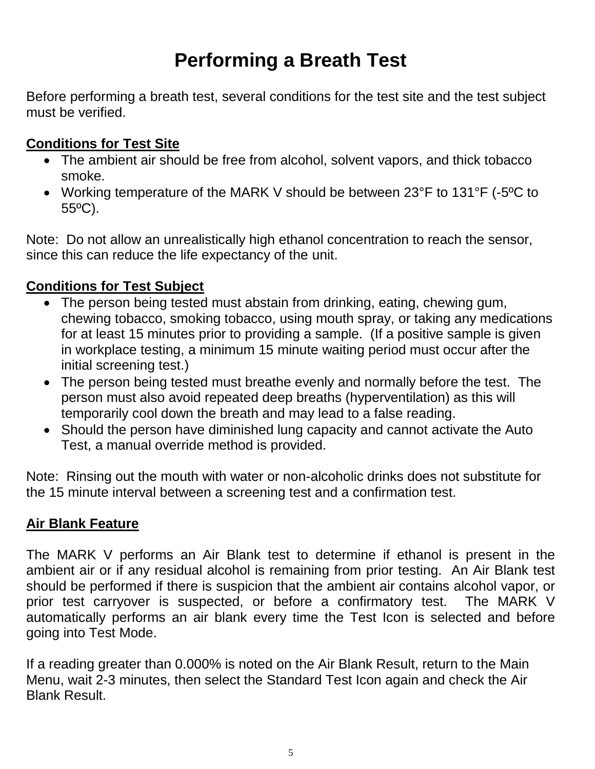# **Performing a Breath Test**

Before performing a breath test, several conditions for the test site and the test subject must be verified.

## **Conditions for Test Site**

- The ambient air should be free from alcohol, solvent vapors, and thick tobacco smoke.
- Working temperature of the MARK V should be between 23°F to 131°F (-5ºC to 55ºC).

Note: Do not allow an unrealistically high ethanol concentration to reach the sensor, since this can reduce the life expectancy of the unit.

## **Conditions for Test Subject**

- The person being tested must abstain from drinking, eating, chewing gum, chewing tobacco, smoking tobacco, using mouth spray, or taking any medications for at least 15 minutes prior to providing a sample. (If a positive sample is given in workplace testing, a minimum 15 minute waiting period must occur after the initial screening test.)
- The person being tested must breathe evenly and normally before the test. The person must also avoid repeated deep breaths (hyperventilation) as this will temporarily cool down the breath and may lead to a false reading.
- Should the person have diminished lung capacity and cannot activate the Auto Test, a manual override method is provided.

Note: Rinsing out the mouth with water or non-alcoholic drinks does not substitute for the 15 minute interval between a screening test and a confirmation test.

### **Air Blank Feature**

The MARK V performs an Air Blank test to determine if ethanol is present in the ambient air or if any residual alcohol is remaining from prior testing. An Air Blank test should be performed if there is suspicion that the ambient air contains alcohol vapor, or prior test carryover is suspected, or before a confirmatory test. The MARK V automatically performs an air blank every time the Test Icon is selected and before going into Test Mode.

If a reading greater than 0.000% is noted on the Air Blank Result, return to the Main Menu, wait 2-3 minutes, then select the Standard Test Icon again and check the Air Blank Result.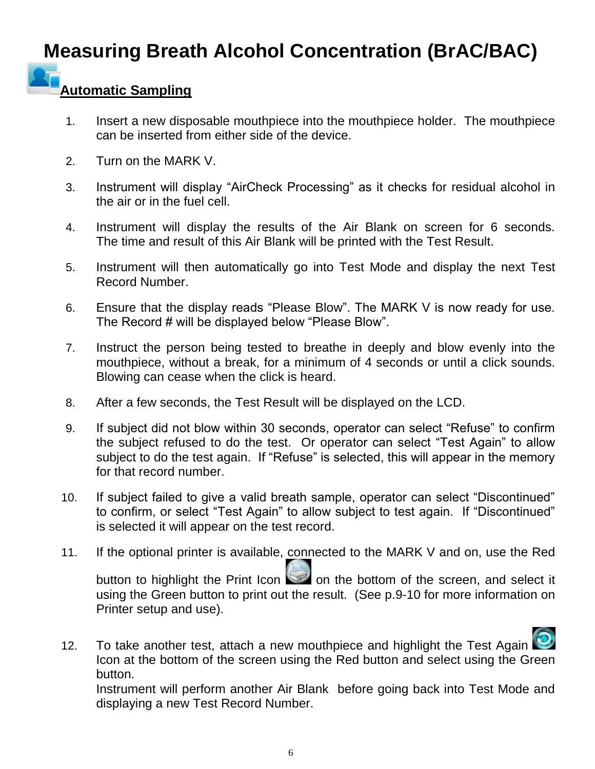# **Measuring Breath Alcohol Concentration (BrAC/BAC)**

# **Automatic Sampling**

- 1. Insert a new disposable mouthpiece into the mouthpiece holder. The mouthpiece can be inserted from either side of the device.
- 2. Turn on the MARK V.
- 3. Instrument will display "AirCheck Processing" as it checks for residual alcohol in the air or in the fuel cell.
- 4. Instrument will display the results of the Air Blank on screen for 6 seconds. The time and result of this Air Blank will be printed with the Test Result.
- 5. Instrument will then automatically go into Test Mode and display the next Test Record Number.
- 6. Ensure that the display reads "Please Blow". The MARK V is now ready for use. The Record # will be displayed below "Please Blow".
- 7. Instruct the person being tested to breathe in deeply and blow evenly into the mouthpiece, without a break, for a minimum of 4 seconds or until a click sounds. Blowing can cease when the click is heard.
- 8. After a few seconds, the Test Result will be displayed on the LCD.
- 9. If subject did not blow within 30 seconds, operator can select "Refuse" to confirm the subject refused to do the test. Or operator can select "Test Again" to allow subject to do the test again. If "Refuse" is selected, this will appear in the memory for that record number.
- 10. If subject failed to give a valid breath sample, operator can select "Discontinued" to confirm, or select "Test Again" to allow subject to test again. If "Discontinued" is selected it will appear on the test record.
- 11. If the optional printer is available, connected to the MARK V and on, use the Red button to highlight the Print Icon  $\Box$  on the bottom of the screen, and select it using the Green button to print out the result. (See p.9-10 for more information on Printer setup and use).

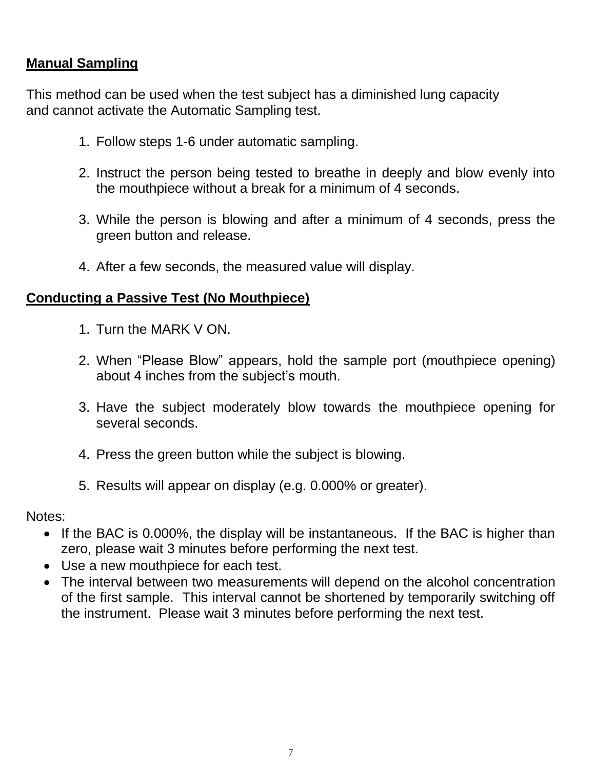## **Manual Sampling**

This method can be used when the test subject has a diminished lung capacity and cannot activate the Automatic Sampling test.

- 1. Follow steps 1-6 under automatic sampling.
- 2. Instruct the person being tested to breathe in deeply and blow evenly into the mouthpiece without a break for a minimum of 4 seconds.
- 3. While the person is blowing and after a minimum of 4 seconds, press the green button and release.
- 4. After a few seconds, the measured value will display.

#### **Conducting a Passive Test (No Mouthpiece)**

- 1. Turn the MARK V ON.
- 2. When "Please Blow" appears, hold the sample port (mouthpiece opening) about 4 inches from the subject's mouth.
- 3. Have the subject moderately blow towards the mouthpiece opening for several seconds.
- 4. Press the green button while the subject is blowing.
- 5. Results will appear on display (e.g. 0.000% or greater).

Notes:

- If the BAC is 0.000%, the display will be instantaneous. If the BAC is higher than zero, please wait 3 minutes before performing the next test.
- Use a new mouthpiece for each test.
- The interval between two measurements will depend on the alcohol concentration of the first sample. This interval cannot be shortened by temporarily switching off the instrument. Please wait 3 minutes before performing the next test.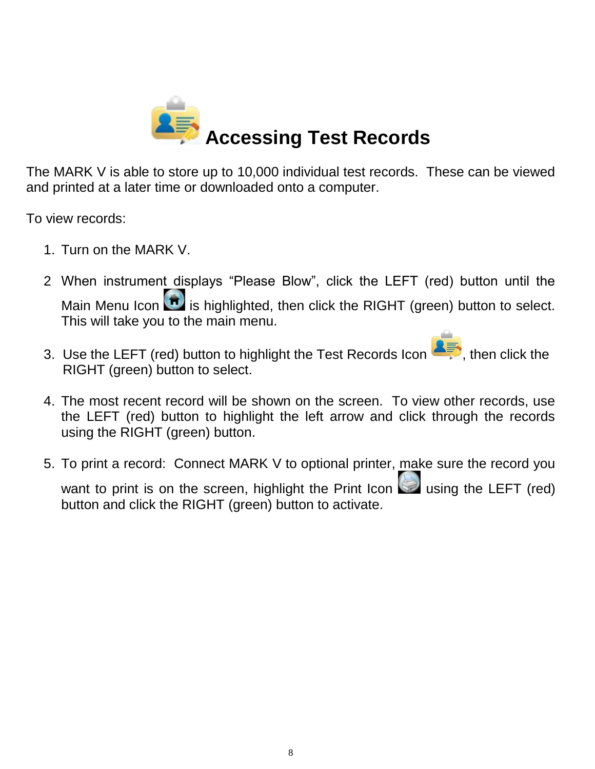

The MARK V is able to store up to 10,000 individual test records. These can be viewed and printed at a later time or downloaded onto a computer.

To view records:

- 1. Turn on the MARK V.
- 2 When instrument displays "Please Blow", click the LEFT (red) button until the Main Menu Icon  $\boxed{\bullet}$  is highlighted, then click the RIGHT (green) button to select. This will take you to the main menu.
- 3. Use the LEFT (red) button to highlight the Test Records Icon **AFT**, then click the RIGHT (green) button to select.
- 4. The most recent record will be shown on the screen. To view other records, use the LEFT (red) button to highlight the left arrow and click through the records using the RIGHT (green) button.
- 5. To print a record: Connect MARK V to optional printer, make sure the record you want to print is on the screen, highlight the Print Icon  $\Box$  using the LEFT (red) button and click the RIGHT (green) button to activate.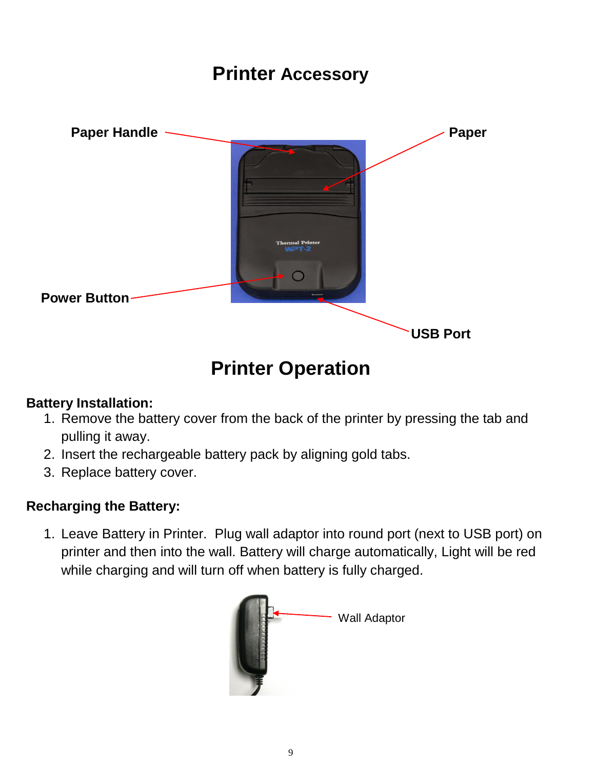## **Printer Accessory**



# **Printer Operation**

### **Battery Installation:**

- 1. Remove the battery cover from the back of the printer by pressing the tab and pulling it away.
- 2. Insert the rechargeable battery pack by aligning gold tabs.
- 3. Replace battery cover.

### **Recharging the Battery:**

1. Leave Battery in Printer. Plug wall adaptor into round port (next to USB port) on printer and then into the wall. Battery will charge automatically, Light will be red while charging and will turn off when battery is fully charged.

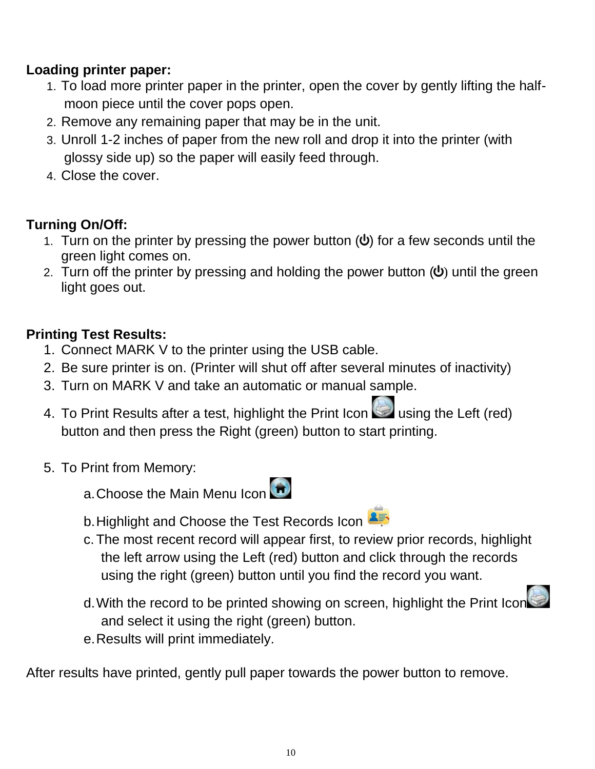## **Loading printer paper:**

- 1. To load more printer paper in the printer, open the cover by gently lifting the halfmoon piece until the cover pops open.
- 2. Remove any remaining paper that may be in the unit.
- 3. Unroll 1-2 inches of paper from the new roll and drop it into the printer (with glossy side up) so the paper will easily feed through.
- 4. Close the cover.

## **Turning On/Off:**

- 1. Turn on the printer by pressing the power button  $(\psi)$  $(\psi)$  for a few seconds until the green light comes on.
- 2. Turn off the printer by pressing and holding the power button  $(\psi)$  $(\psi)$  until the green light goes out.

## **Printing Test Results:**

- 1. Connect MARK V to the printer using the USB cable.
- 2. Be sure printer is on. (Printer will shut off after several minutes of inactivity)
- 3. Turn on MARK V and take an automatic or manual sample.
- 4. To Print Results after a test, highlight the Print Icon  $\Box$  using the Left (red) button and then press the Right (green) button to start printing.
- 5. To Print from Memory:
	- a. Choose the Main Menu Icon
- - b. Highlight and Choose the Test Records Icon
	- c.The most recent record will appear first, to review prior records, highlight the left arrow using the Left (red) button and click through the records using the right (green) button until you find the record you want.
	- d.With the record to be printed showing on screen, highlight the Print Icon and select it using the right (green) button.
	- e.Results will print immediately.

After results have printed, gently pull paper towards the power button to remove.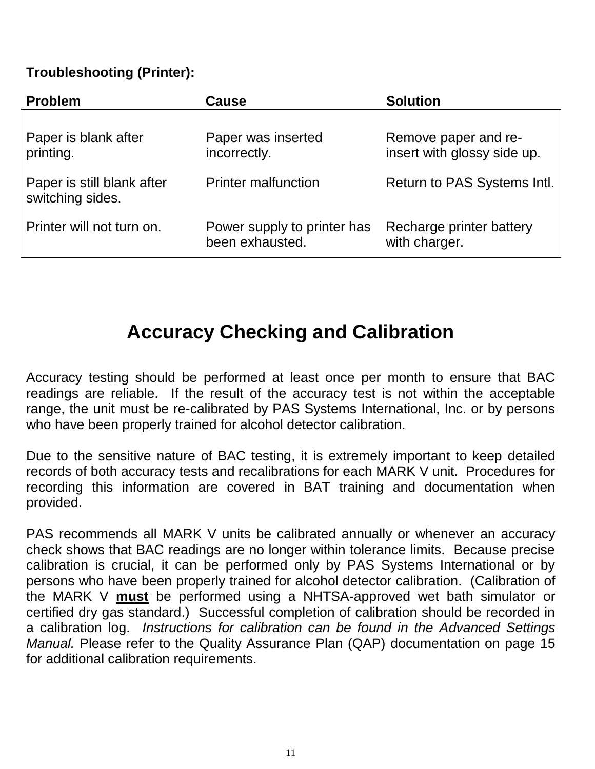#### **Troubleshooting (Printer):**

| <b>Problem</b>                                 | Cause                                          | <b>Solution</b>                                     |
|------------------------------------------------|------------------------------------------------|-----------------------------------------------------|
| Paper is blank after<br>printing.              | Paper was inserted<br>incorrectly.             | Remove paper and re-<br>insert with glossy side up. |
| Paper is still blank after<br>switching sides. | <b>Printer malfunction</b>                     | Return to PAS Systems Intl.                         |
| Printer will not turn on.                      | Power supply to printer has<br>been exhausted. | Recharge printer battery<br>with charger.           |

# **Accuracy Checking and Calibration**

Accuracy testing should be performed at least once per month to ensure that BAC readings are reliable. If the result of the accuracy test is not within the acceptable range, the unit must be re-calibrated by PAS Systems International, Inc. or by persons who have been properly trained for alcohol detector calibration.

Due to the sensitive nature of BAC testing, it is extremely important to keep detailed records of both accuracy tests and recalibrations for each MARK V unit. Procedures for recording this information are covered in BAT training and documentation when provided.

PAS recommends all MARK V units be calibrated annually or whenever an accuracy check shows that BAC readings are no longer within tolerance limits. Because precise calibration is crucial, it can be performed only by PAS Systems International or by persons who have been properly trained for alcohol detector calibration. (Calibration of the MARK V **must** be performed using a NHTSA-approved wet bath simulator or certified dry gas standard.) Successful completion of calibration should be recorded in a calibration log. *Instructions for calibration can be found in the Advanced Settings Manual.* Please refer to the Quality Assurance Plan (QAP) documentation on page 15 for additional calibration requirements.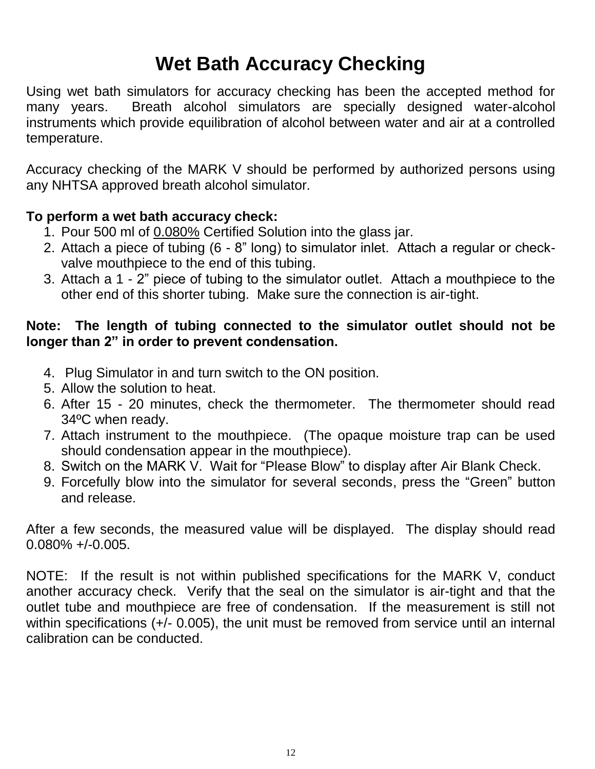# **Wet Bath Accuracy Checking**

Using wet bath simulators for accuracy checking has been the accepted method for many years. Breath alcohol simulators are specially designed water-alcohol instruments which provide equilibration of alcohol between water and air at a controlled temperature.

Accuracy checking of the MARK V should be performed by authorized persons using any NHTSA approved breath alcohol simulator.

#### **To perform a wet bath accuracy check:**

- 1. Pour 500 ml of 0.080% Certified Solution into the glass jar.
- 2. Attach a piece of tubing (6 8" long) to simulator inlet. Attach a regular or checkvalve mouthpiece to the end of this tubing.
- 3. Attach a 1 2" piece of tubing to the simulator outlet. Attach a mouthpiece to the other end of this shorter tubing. Make sure the connection is air-tight.

#### **Note: The length of tubing connected to the simulator outlet should not be longer than 2" in order to prevent condensation.**

- 4. Plug Simulator in and turn switch to the ON position.
- 5. Allow the solution to heat.
- 6. After 15 20 minutes, check the thermometer. The thermometer should read 34ºC when ready.
- 7. Attach instrument to the mouthpiece. (The opaque moisture trap can be used should condensation appear in the mouthpiece).
- 8. Switch on the MARK V. Wait for "Please Blow" to display after Air Blank Check.
- 9. Forcefully blow into the simulator for several seconds, press the "Green" button and release.

After a few seconds, the measured value will be displayed. The display should read 0.080% +/-0.005.

NOTE: If the result is not within published specifications for the MARK V, conduct another accuracy check. Verify that the seal on the simulator is air-tight and that the outlet tube and mouthpiece are free of condensation. If the measurement is still not within specifications  $(+)$ - 0.005), the unit must be removed from service until an internal calibration can be conducted.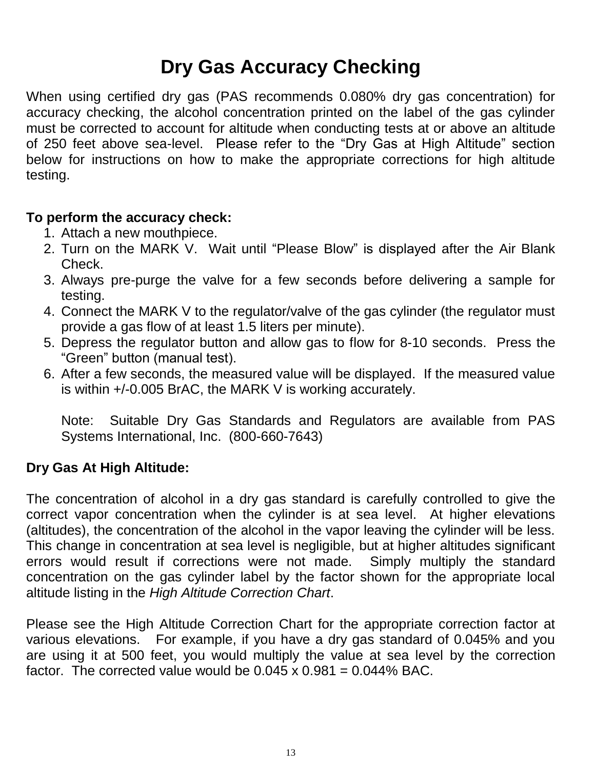# **Dry Gas Accuracy Checking**

When using certified dry gas (PAS recommends 0.080% dry gas concentration) for accuracy checking, the alcohol concentration printed on the label of the gas cylinder must be corrected to account for altitude when conducting tests at or above an altitude of 250 feet above sea-level. Please refer to the "Dry Gas at High Altitude" section below for instructions on how to make the appropriate corrections for high altitude testing.

#### **To perform the accuracy check:**

- 1. Attach a new mouthpiece.
- 2. Turn on the MARK V. Wait until "Please Blow" is displayed after the Air Blank Check.
- 3. Always pre-purge the valve for a few seconds before delivering a sample for testing.
- 4. Connect the MARK V to the regulator/valve of the gas cylinder (the regulator must provide a gas flow of at least 1.5 liters per minute).
- 5. Depress the regulator button and allow gas to flow for 8-10 seconds. Press the "Green" button (manual test).
- 6. After a few seconds, the measured value will be displayed. If the measured value is within +/-0.005 BrAC, the MARK V is working accurately.

Note: Suitable Dry Gas Standards and Regulators are available from PAS Systems International, Inc. (800-660-7643)

#### **Dry Gas At High Altitude:**

The concentration of alcohol in a dry gas standard is carefully controlled to give the correct vapor concentration when the cylinder is at sea level. At higher elevations (altitudes), the concentration of the alcohol in the vapor leaving the cylinder will be less. This change in concentration at sea level is negligible, but at higher altitudes significant errors would result if corrections were not made. Simply multiply the standard concentration on the gas cylinder label by the factor shown for the appropriate local altitude listing in the *High Altitude Correction Chart*.

Please see the High Altitude Correction Chart for the appropriate correction factor at various elevations. For example, if you have a dry gas standard of 0.045% and you are using it at 500 feet, you would multiply the value at sea level by the correction factor. The corrected value would be  $0.045 \times 0.981 = 0.044\%$  BAC.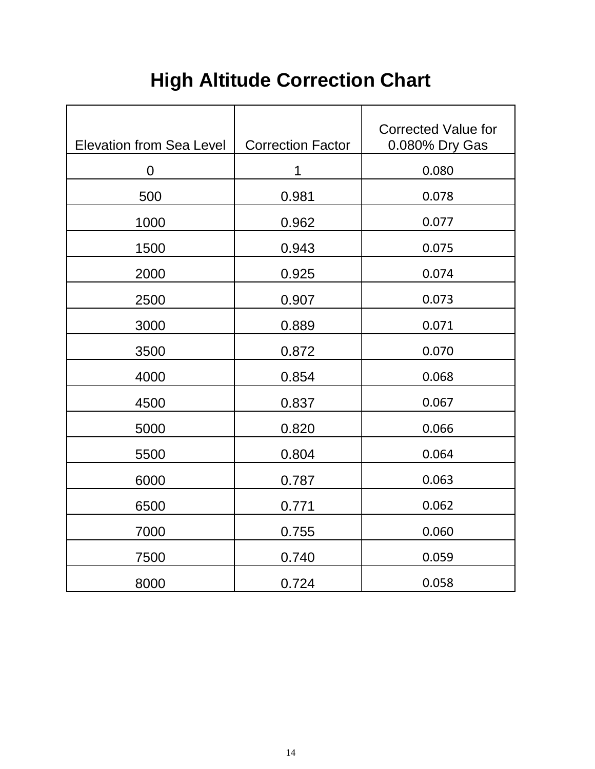# **High Altitude Correction Chart**

| <b>Elevation from Sea Level</b> | <b>Correction Factor</b> | <b>Corrected Value for</b><br>0.080% Dry Gas |
|---------------------------------|--------------------------|----------------------------------------------|
| $\mathbf 0$                     | 1                        | 0.080                                        |
| 500                             | 0.981                    | 0.078                                        |
| 1000                            | 0.962                    | 0.077                                        |
| 1500                            | 0.943                    | 0.075                                        |
| 2000                            | 0.925                    | 0.074                                        |
| 2500                            | 0.907                    | 0.073                                        |
| 3000                            | 0.889                    | 0.071                                        |
| 3500                            | 0.872                    | 0.070                                        |
| 4000                            | 0.854                    | 0.068                                        |
| 4500                            | 0.837                    | 0.067                                        |
| 5000                            | 0.820                    | 0.066                                        |
| 5500                            | 0.804                    | 0.064                                        |
| 6000                            | 0.787                    | 0.063                                        |
| 6500                            | 0.771                    | 0.062                                        |
| 7000                            | 0.755                    | 0.060                                        |
| 7500                            | 0.740                    | 0.059                                        |
| 8000                            | 0.724                    | 0.058                                        |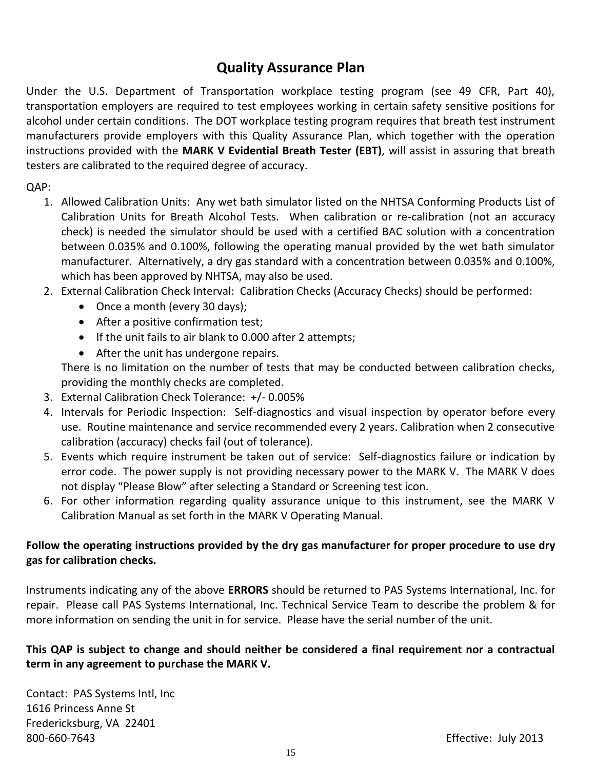## **Quality Assurance Plan**

Under the U.S. Department of Transportation workplace testing program (see 49 CFR, Part 40), transportation employers are required to test employees working in certain safety sensitive positions for alcohol under certain conditions. The DOT workplace testing program requires that breath test instrument manufacturers provide employers with this Quality Assurance Plan, which together with the operation instructions provided with the **MARK V Evidential Breath Tester (EBT)**, will assist in assuring that breath testers are calibrated to the required degree of accuracy.

QAP:

- 1. Allowed Calibration Units: Any wet bath simulator listed on the NHTSA Conforming Products List of Calibration Units for Breath Alcohol Tests. When calibration or re-calibration (not an accuracy check) is needed the simulator should be used with a certified BAC solution with a concentration between 0.035% and 0.100%, following the operating manual provided by the wet bath simulator manufacturer. Alternatively, a dry gas standard with a concentration between 0.035% and 0.100%, which has been approved by NHTSA, may also be used.
- 2. External Calibration Check Interval: Calibration Checks (Accuracy Checks) should be performed:
	- Once a month (every 30 days);
	- After a positive confirmation test;
	- If the unit fails to air blank to 0.000 after 2 attempts;
	- After the unit has undergone repairs.

There is no limitation on the number of tests that may be conducted between calibration checks, providing the monthly checks are completed.

- 3. External Calibration Check Tolerance: +/- 0.005%
- 4. Intervals for Periodic Inspection: Self-diagnostics and visual inspection by operator before every use. Routine maintenance and service recommended every 2 years. Calibration when 2 consecutive calibration (accuracy) checks fail (out of tolerance).
- 5. Events which require instrument be taken out of service: Self-diagnostics failure or indication by error code. The power supply is not providing necessary power to the MARK V. The MARK V does not display "Please Blow" after selecting a Standard or Screening test icon.
- 6. For other information regarding quality assurance unique to this instrument, see the MARK V Calibration Manual as set forth in the MARK V Operating Manual.

#### **Follow the operating instructions provided by the dry gas manufacturer for proper procedure to use dry gas for calibration checks.**

Instruments indicating any of the above **ERRORS** should be returned to PAS Systems International, Inc. for repair. Please call PAS Systems International, Inc. Technical Service Team to describe the problem & for more information on sending the unit in for service. Please have the serial number of the unit.

#### **This QAP is subject to change and should neither be considered a final requirement nor a contractual term in any agreement to purchase the MARK V.**

Contact: PAS Systems Intl, Inc 1616 Princess Anne St Fredericksburg, VA 22401 800-660-7643 Effective: July 2013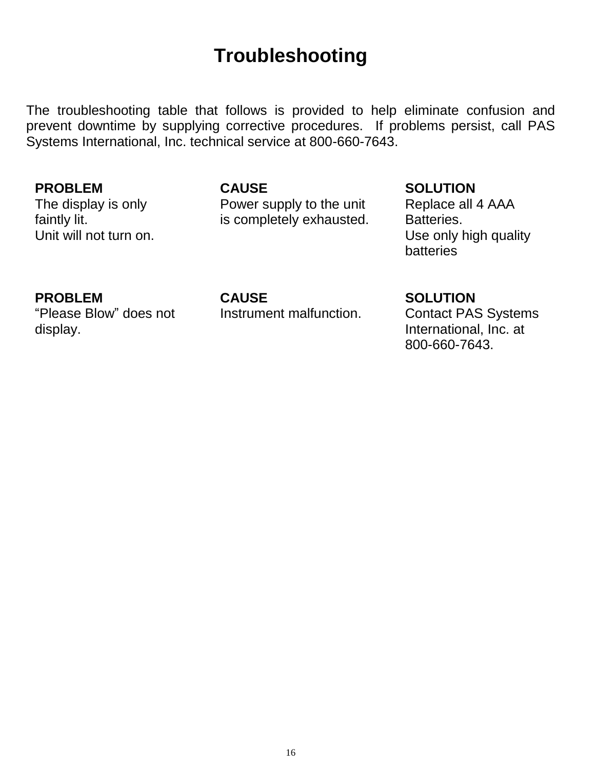## **Troubleshooting**

The troubleshooting table that follows is provided to help eliminate confusion and prevent downtime by supplying corrective procedures. If problems persist, call PAS Systems International, Inc. technical service at 800-660-7643.

#### **PROBLEM**

The display is only faintly lit. Unit will not turn on.

#### **CAUSE**

Power supply to the unit is completely exhausted.

### **SOLUTION**

Replace all 4 AAA Batteries. Use only high quality batteries

#### **PROBLEM**

"Please Blow" does not display.

#### **CAUSE**

Instrument malfunction.

#### **SOLUTION**

Contact PAS Systems International, Inc. at 800-660-7643.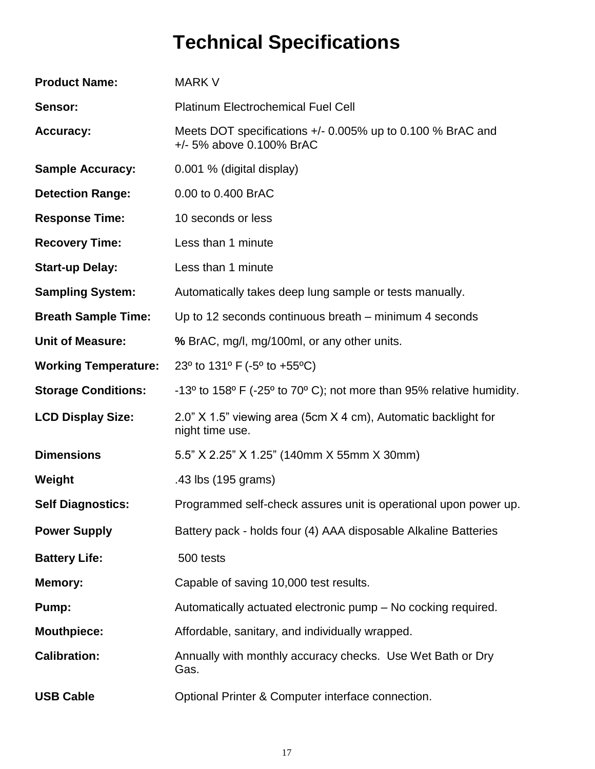# **Technical Specifications**

| <b>Product Name:</b>        | <b>MARK V</b>                                                                                            |
|-----------------------------|----------------------------------------------------------------------------------------------------------|
| Sensor:                     | <b>Platinum Electrochemical Fuel Cell</b>                                                                |
| <b>Accuracy:</b>            | Meets DOT specifications +/- 0.005% up to 0.100 % BrAC and<br>+/- 5% above 0.100% BrAC                   |
| <b>Sample Accuracy:</b>     | 0.001 % (digital display)                                                                                |
| <b>Detection Range:</b>     | 0.00 to 0.400 BrAC                                                                                       |
| <b>Response Time:</b>       | 10 seconds or less                                                                                       |
| <b>Recovery Time:</b>       | Less than 1 minute                                                                                       |
| <b>Start-up Delay:</b>      | Less than 1 minute                                                                                       |
| <b>Sampling System:</b>     | Automatically takes deep lung sample or tests manually.                                                  |
| <b>Breath Sample Time:</b>  | Up to 12 seconds continuous breath – minimum 4 seconds                                                   |
| <b>Unit of Measure:</b>     | % BrAC, mg/l, mg/100ml, or any other units.                                                              |
| <b>Working Temperature:</b> | 23° to 131° F (-5° to +55°C)                                                                             |
| <b>Storage Conditions:</b>  | -13 $\degree$ to 158 $\degree$ F (-25 $\degree$ to 70 $\degree$ C); not more than 95% relative humidity. |
| <b>LCD Display Size:</b>    | 2.0" X 1.5" viewing area (5cm X 4 cm), Automatic backlight for<br>night time use.                        |
| <b>Dimensions</b>           | 5.5" X 2.25" X 1.25" (140mm X 55mm X 30mm)                                                               |
| Weight                      | .43 lbs (195 grams)                                                                                      |
| <b>Self Diagnostics:</b>    | Programmed self-check assures unit is operational upon power up.                                         |
| <b>Power Supply</b>         | Battery pack - holds four (4) AAA disposable Alkaline Batteries                                          |
| <b>Battery Life:</b>        | 500 tests                                                                                                |
| <b>Memory:</b>              | Capable of saving 10,000 test results.                                                                   |
| Pump:                       | Automatically actuated electronic pump - No cocking required.                                            |
| <b>Mouthpiece:</b>          | Affordable, sanitary, and individually wrapped.                                                          |
| <b>Calibration:</b>         | Annually with monthly accuracy checks. Use Wet Bath or Dry<br>Gas.                                       |
| <b>USB Cable</b>            | Optional Printer & Computer interface connection.                                                        |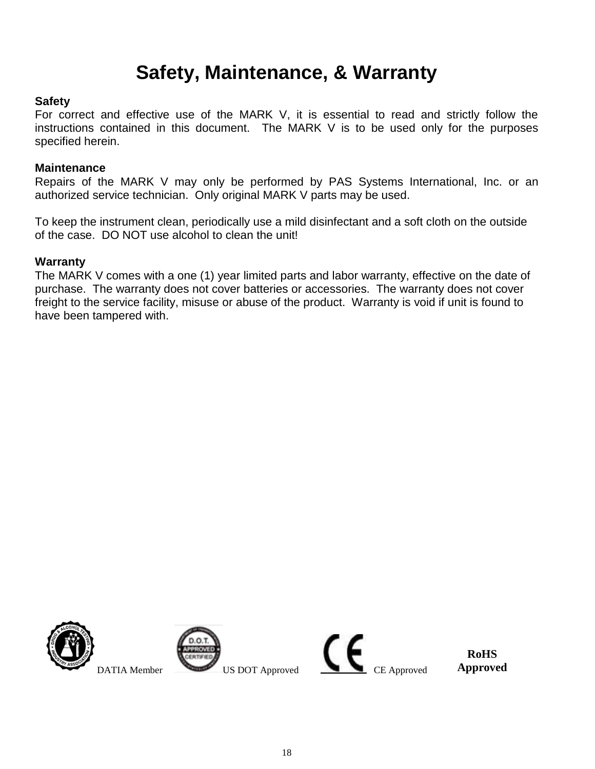## **Safety, Maintenance, & Warranty**

#### **Safety**

For correct and effective use of the MARK V, it is essential to read and strictly follow the instructions contained in this document. The MARK V is to be used only for the purposes specified herein.

#### **Maintenance**

Repairs of the MARK V may only be performed by PAS Systems International, Inc. or an authorized service technician. Only original MARK V parts may be used.

To keep the instrument clean, periodically use a mild disinfectant and a soft cloth on the outside of the case. DO NOT use alcohol to clean the unit!

#### **Warranty**

The MARK V comes with a one (1) year limited parts and labor warranty, effective on the date of purchase. The warranty does not cover batteries or accessories. The warranty does not cover freight to the service facility, misuse or abuse of the product. Warranty is void if unit is found to have been tampered with.





 $\overbrace{\text{DATA Member}}^{\text{D.O.T.}}$  US DOT Approved CE Approved

**RoHS Approved**